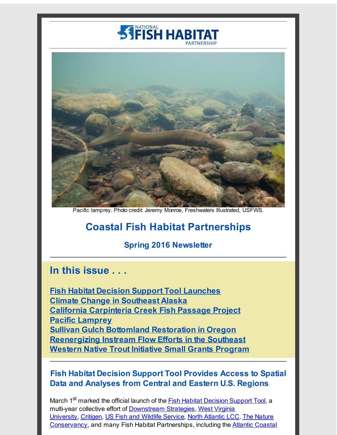



Pacific lamprey. Photo credit: Jeremy Monroe, Freshwaters Illustrated, USFWS.

# **Coastal Fish Habitat Partnerships**

#### **Spring 2016 Newsletter**

# **In this issue . . .**

**Fish Habitat Decision Support Tool [Launches](#page-0-0) Climate Change in [Southeast](#page-2-0) Alaska California [Carpinteria](#page-3-0) Creek Fish Passage Project Pacific [Lamprey](#page-4-0) Sullivan Gulch Bottomland [Restoration](#page-5-0) in Oregon [Reenergizing](#page-6-0) Instream Flow Efforts in the Southeast Western Native Trout Initiative Small Grants [Program](#page-6-1)**

#### <span id="page-0-0"></span>**Fish Habitat Decision Support Tool Provides Access to Spatial Data and Analyses from Central and Eastern U.S. Regions**

March 1<sup>st</sup> marked the official launch of the **Fish Habitat [Decision](http://r20.rs6.net/tn.jsp?f=001VYazWcz5hi0Yky9fW8QV0yXh8e2-snFUkdZqOAkPVseCnmNfHN1nKf1ekaVTnFMcwa29dSAZm7m2o8Uqf_vK1sFTQYDeesQ2k_IduSd5H_qNfZdqcms85MwJcL4jqXpXS_qU3I8TJUmbNuJ_IQ8KFMTBOymo586PCZ-_av3EJ5kHeysTTY4btQ==&c=&ch=) Support Tool**, a multi-year collective effort of [Downstream](http://r20.rs6.net/tn.jsp?f=001VYazWcz5hi0Yky9fW8QV0yXh8e2-snFUkdZqOAkPVseCnmNfHN1nKf1ekaVTnFMcUIrY5ay-X8stOaNgoPdQ0ckxjuSJx1INwuytUAPaMiU_z6jmVGa2xkkQjzDq3xD8-pRdmLcrMeI3TShu1S9UvfkRFUXkRy1kzhWpoGKheJG6S_t9efpTrstfeS1RJLat&c=&ch=) Strategies, West Virginia University, [Critigen](http://r20.rs6.net/tn.jsp?f=001VYazWcz5hi0Yky9fW8QV0yXh8e2-snFUkdZqOAkPVseCnmNfHN1nKf1ekaVTnFMczXEwLrpMOWZHBPf8XyIPEVu0onSkb002JIEtSlMt2a5T2MsKgZ3fjvrojbvGGM4jl8_-B3qxLYDhmnedxOOvfMmG4eDiBuiI_1pntY7hzsM=&c=&ch=), US Fish and Wildlife [Service](http://r20.rs6.net/tn.jsp?f=001VYazWcz5hi0Yky9fW8QV0yXh8e2-snFUkdZqOAkPVseCnmNfHN1nKf1ekaVTnFMcXbCOmf0sdsKy7tPSBSBqtWBfZg9HK-u3DtImkCEbGphBvylOdisRCbNBW4pUkWjAZPojpA8MNYTjwl-url5Vj1L7Z_N4dkg5c3yZcB2qBCQ=&c=&ch=), North [Atlantic](http://r20.rs6.net/tn.jsp?f=001VYazWcz5hi0Yky9fW8QV0yXh8e2-snFUkdZqOAkPVseCnmNfHN1nKf1ekaVTnFMcaRgGFF0NtMo73nF0kgqrNHEchpDGfFZMLs8vBx8MXQS7wTliH5_Ro4z4ZhvcGEO7Bv7t2-O3Pe7EoFe2deDIHvNr-JBrLcInOqGydc5WjHIyJU4sQjejmw==&c=&ch=) LCC, The Nature [Conservancy,](http://r20.rs6.net/tn.jsp?f=001VYazWcz5hi0Yky9fW8QV0yXh8e2-snFUkdZqOAkPVseCnmNfHN1nKRGTyWahIJAyicRQ6CixEGvKYLHNwx8rik3SX-NMBgHsM4_PM_Pt_MSkNwQN12-g9ul2Hx0pzH872jBJdwDq7c8CklI6CcuaLV0QLO0HRZb0hOHWxc-z7XY=&c=&ch=) and many Fish Habitat Partnerships, including the Atlantic Coastal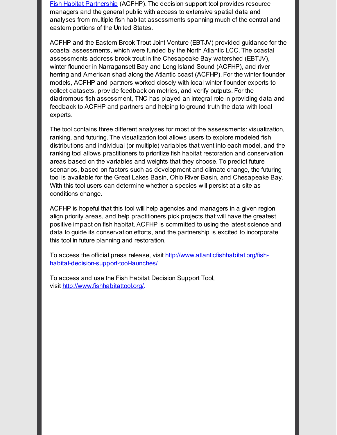Fish Habitat Partnership (ACFHP). The decision support tool provides resource managers and the general public with access to extensive spatial data and analyses from multiple fish habitat assessments spanning much of the central and eastern portions of the United States.

ACFHP and the Eastern Brook Trout Joint Venture (EBTJV) provided guidance for the coastal assessments, which were funded by the North Atlantic LCC. The coastal assessments address brook trout in the Chesapeake Bay watershed (EBTJV), winter flounder in Narragansett Bay and Long Island Sound (ACFHP), and river herring and American shad along the Atlantic coast (ACFHP). For the winter flounder models, ACFHP and partners worked closely with local winter flounder experts to collect datasets, provide feedback on metrics, and verify outputs. For the diadromous fish assessment, TNC has played an integral role in providing data and feedback to ACFHP and partners and helping to ground truth the data with local experts.

The tool contains three different analyses for most of the assessments: visualization, ranking, and futuring. The visualization tool allows users to explore modeled fish distributions and individual (or multiple) variables that went into each model, and the ranking tool allows practitioners to prioritize fish habitat restoration and conservation areas based on the variables and weights that they choose. To predict future scenarios, based on factors such as development and climate change, the futuring tool is available for the Great Lakes Basin, Ohio River Basin, and Chesapeake Bay. With this tool users can determine whether a species will persist at a site as conditions change.

ACFHP is hopeful that this tool will help agencies and managers in a given region align priority areas, and help practitioners pick projects that will have the greatest positive impact on fish habitat. ACFHP is committed to using the latest science and data to guide its conservation efforts, and the partnership is excited to incorporate this tool in future planning and restoration.

To access the official press release, visit http://www.atlanticfishhabitat.org/fish[habitat-decision-support-tool-launches/](http://r20.rs6.net/tn.jsp?f=001VYazWcz5hi0Yky9fW8QV0yXh8e2-snFUkdZqOAkPVseCnmNfHN1nKf1ekaVTnFMcxHFZgsHhjyIeDrf65ckilVsydabYhmgCRnX9fYmsRfbq6JDWVOZAkdLAx-0s0Om4M5x1ghkFkq2PpbDqHAj8TJ0zYpv6Td3Sz0S6lJ8dgCbGnjcHsuJpnY-rsy42ysr0IVZN-1zsdebe89oqUw7E47crbdXFgjh2XnDhBTkkmt71MiDRtmLvAA==&c=&ch=)

To access and use the Fish Habitat Decision Support Tool, visit [http://www.fishhabitattool.org/](http://r20.rs6.net/tn.jsp?f=001VYazWcz5hi0Yky9fW8QV0yXh8e2-snFUkdZqOAkPVseCnmNfHN1nKf1ekaVTnFMcwa29dSAZm7m2o8Uqf_vK1sFTQYDeesQ2k_IduSd5H_qNfZdqcms85MwJcL4jqXpXS_qU3I8TJUmbNuJ_IQ8KFMTBOymo586PCZ-_av3EJ5kHeysTTY4btQ==&c=&ch=).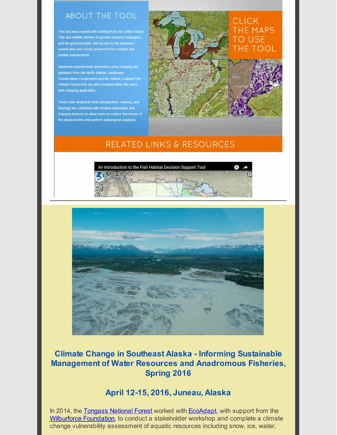#### **ABOUT THE TOOL**

This tool was created with funding from the United States Fish and Wildlife Service to provide resource managers habitat assessments.

Additional assessments performed under funding and guidance from the North Atlantic Landscape web mapping application

Three main analytical tools (visualization, ranking, and futuring) are combined with intuitive basemaps and mapping features to allow users to explore the details of the assessments and perform subsequent analyses.

## **CLICK** THE MAPS **TO USE** THE TOOL

## **RELATED LINKS & RESOURCES**





## <span id="page-2-0"></span>**Climate Change in Southeast Alaska - Informing Sustainable Management of Water Resources and Anadromous Fisheries, Spring 2016**

#### **April 12-15, 2016, Juneau, Alaska**

In 2014, the [Tongass](http://r20.rs6.net/tn.jsp?f=001VYazWcz5hi0Yky9fW8QV0yXh8e2-snFUkdZqOAkPVseCnmNfHN1nKf1ekaVTnFMc21zVYnO3QqfVl7mgTd3KOQvCb1oxFR1KfMpIlAs8iaSQRqYKYNhRzlPQe7mHZYDNjOO-8M4iByKDiY6wzGVznkjMsYDV7F1YxxoIya3u4EuawHO2fvw54g==&c=&ch=) National Forest worked with [EcoAdapt](http://r20.rs6.net/tn.jsp?f=001VYazWcz5hi0Yky9fW8QV0yXh8e2-snFUkdZqOAkPVseCnmNfHN1nKf1ekaVTnFMc0xN_0OdL5TsCI1hp0XjaIDKyDmkQ5VNiC59hFmbKJa_Wplq8qUetnudWNiEvS2JzrVmutwGXP2j1AloenpTw6R-1Zds6plqIfCjTOwez-kA=&c=&ch=), with support from the [Wilburforce](http://r20.rs6.net/tn.jsp?f=001VYazWcz5hi0Yky9fW8QV0yXh8e2-snFUkdZqOAkPVseCnmNfHN1nKf1ekaVTnFMcuJtYtRBLURg00_br35Ou2HFMWghD4S_QacAjy_lCiaqjcm8UPCO8uY5zvCEuOyxmu-BTGtI7z4M5DyZZDpMj_qB0C_oVKsxlbd0osMb3IDlqoTwKHy4F3g==&c=&ch=) Foundation, to conduct a stakeholder workshop and complete a climate change vulnerability assessment of aquatic resources including snow, ice, water,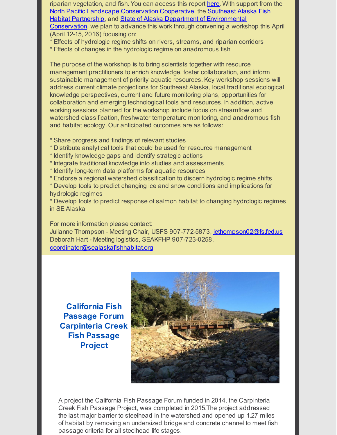riparian vegetation, and fish. You can access this report [here](http://r20.rs6.net/tn.jsp?f=001VYazWcz5hi0Yky9fW8QV0yXh8e2-snFUkdZqOAkPVseCnmNfHN1nKf1ekaVTnFMcAYc2mQVvETtlvRrxABSyDgsSdkB-w2Vx2MBOkIvjvpXe728YDzbhmw5fbNUaDxDUJBkQ0KnxvxQjaa2AtL73Zsn46JttZtrjNQeQR85uY2FvC3hcCckgKhtivv4Yx69qGSJSYTOMGew1KgcDy54Cggv_rtcb6hVgPO83NHG9ct7FyPlfkcGv1rkaAAo3QIj7v-TZbLwCv6HFxpXApI-zzUjFKGtEEpJa&c=&ch=). With support from the North Pacific Landscape [Conservation](http://r20.rs6.net/tn.jsp?f=001VYazWcz5hi0Yky9fW8QV0yXh8e2-snFUkdZqOAkPVseCnmNfHN1nKf1ekaVTnFMcRUfeNhQbJmxotXdkFzxmyrLpI00YWjEFU-gxHhJjh3rtSUZeyfpx_PVzQ7WcmrLNkADg5D2j0wMRWAOIWcvNSCjP4x4YQp-qqaHnkI7wGfjxU9xpr-daHA==&c=&ch=) Cooperative, the Southeast Alaska Fish Habitat Partnership, and State of Alaska Department of [Environmenta](http://r20.rs6.net/tn.jsp?f=001VYazWcz5hi0Yky9fW8QV0yXh8e2-snFUkdZqOAkPVseCnmNfHN1nKf1ekaVTnFMcOL9AcP3XjXY4R7_OO2LV7hvr-di5KL8l_vKwQElbjOUfZHvKSW81Py2e5InNwUVJfZLV--IMBGc9PZsXLYbXXDE_J2044fL-8ZqKgnCzcbU=&c=&ch=)[l](http://r20.rs6.net/tn.jsp?f=001VYazWcz5hi0Yky9fW8QV0yXh8e2-snFUkdZqOAkPVseCnmNfHN1nKUlfxIeKcaprn2NM4DQ5151RE1mMZLBylfGxb3gVRF4g37VdehR38kG7aBf3qp8vCT5OMHhD1odTdutYO4_UWMJCC6Pl1HHUgc33HK2JKgV5le9JHBgNQow=&c=&ch=) Conservation, we plan to advance this work through convening a workshop this April (April 12-15, 2016) focusing on:

\* Effects of hydrologic regime shifts on rivers, streams, and riparian corridors

\* Effects of changes in the hydrologic regime on anadromous fish

The purpose of the workshop is to bring scientists together with resource management practitioners to enrich knowledge, foster collaboration, and inform sustainable management of priority aquatic resources. Key workshop sessions will address current climate projections for Southeast Alaska, local traditional ecological knowledge perspectives, current and future monitoring plans, opportunities for collaboration and emerging technological tools and resources. In addition, active working sessions planned for the workshop include focus on streamflow and watershed classification, freshwater temperature monitoring, and anadromous fish and habitat ecology. Our anticipated outcomes are as follows:

- \* Share progress and findings of relevant studies
- \* Distribute analytical tools that could be used for resource management
- \* Identify knowledge gaps and identify strategic actions
- \* Integrate traditional knowledge into studies and assessments
- \* Identify long-term data platforms for aquatic resources
- \* Endorse a regional watershed classification to discern hydrologic regime shifts
- \* Develop tools to predict changing ice and snow conditions and implications for hydrologic regimes

\* Develop tools to predict response of salmon habitat to changing hydrologic regimes in SE Alaska

For more information please contact: Julianne Thompson - Meeting Chair, USFS 907-772-5873, [jethompson02@fs.fed.us](mailto:jethompson02@fs.fed.us) Deborah Hart - Meeting logistics, SEAKFHP 907-723-0258, [coordinator@sealaskafishhabitat.org](mailto:coordinator@sealaskafishhabitat.org)

<span id="page-3-0"></span>**California Fish Passage Forum Carpinteria Creek Fish Passage Project**



A project the California Fish Passage Forum funded in 2014, the Carpinteria Creek Fish Passage Project, was completed in 2015.The project addressed the last major barrier to steelhead in the watershed and opened up 1.27 miles of habitat by removing an undersized bridge and concrete channel to meet fish passage criteria for all steelhead life stages.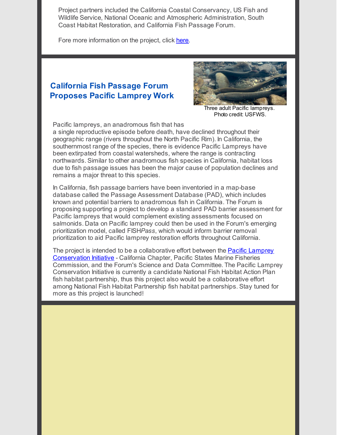Project partners included the California Coastal Conservancy, US Fish and Wildlife Service, National Oceanic and Atmospheric Administration, South Coast Habitat Restoration, and California Fish Passage Forum.

Fore more information on the project, click [here](http://r20.rs6.net/tn.jsp?f=001VYazWcz5hi0Yky9fW8QV0yXh8e2-snFUkdZqOAkPVseCnmNfHN1nKf1ekaVTnFMcnXQWyvpqrusadOieqAYtQuxNRDEqBsTeArs18RtaTikuNMKYZMC3BpcQMXJSGn3cMW5Sgt_iO63ng7XcoA9T9qvsUKxlQYWD4kkxRygH634YGYhR1o6495ptvhYpjVUnOcgt9N8PlRSxYZElfOPYP9iKGMYoMU84NTJSLZtJrF0=&c=&ch=).

### <span id="page-4-0"></span>**California Fish Passage Forum Proposes Pacific Lamprey Work**



Three adult Pacific lampreys. Photo credit: USFWS.

Pacific lampreys, an anadromous fish that has

a single reproductive episode before death, have declined throughout their geographic range (rivers throughout the North Pacific Rim). In California, the southernmost range of the species, there is evidence Pacific Lampreys have been extirpated from coastal watersheds, where the range is contracting northwards. Similar to other anadromous fish species in California, habitat loss due to fish passage issues has been the major cause of population declines and remains a major threat to this species.

In California, fish passage barriers have been inventoried in a map-base database called the Passage Assessment Database (PAD), which includes known and potential barriers to anadromous fish in California. The Forum is proposing supporting a project to develop a standard PAD barrier assessment for Pacific lampreys that would complement existing assessments focused on salmonids. Data on Pacific lamprey could then be used in the Forum's emerging prioritization model, called FISH*Pass*, which would inform barrier removal prioritization to aid Pacific lamprey restoration efforts throughout California.

The project is intended to be a collaborative effort between the **Pacific Lamprey** [Conservation](http://r20.rs6.net/tn.jsp?f=001VYazWcz5hi0Yky9fW8QV0yXh8e2-snFUkdZqOAkPVseCnmNfHN1nKf1ekaVTnFMcypKw6RHBtAud4KkJegyVMedy85vWVRwkH6DD7AePF74At67-mjomeJWHc7uI3x2QfLy525ynNe2SJRGnDDudVf0CFPHNK05QjMGv6T_M-NVMUwZPR5otxdv10QTCYbIdwOjKcH6Kqst0Gt5kqZYFb70lG6vtcWg67Qx0C3rJi8xefEiTpG_W7g==&c=&ch=) Initiative - California Chapter, Pacific States Marine Fisheries Commission, and the Forum's Science and Data Committee. The Pacific Lamprey Conservation Initiative is currently a candidate National Fish Habitat Action Plan fish habitat partnership, thus this project also would be a collaborative effort among National Fish Habitat Partnership fish habitat partnerships. Stay tuned for more as this project is launched!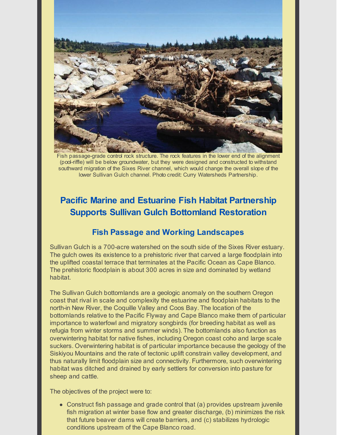

Fish passage-grade control rock structure. The rock features in the lower end of the alignment (pool-riffle) will be below groundwater, but they were designed and constructed to withstand southward migration of the Sixes River channel, which would change the overall slope of the lower Sullivan Gulch channel. Photo credit: Curry Watersheds Partnership.

## <span id="page-5-0"></span>**Pacific Marine and Estuarine Fish Habitat Partnership Supports Sullivan Gulch Bottomland Restoration**

#### **Fish Passage and Working Landscapes**

Sullivan Gulch is a 700-acre watershed on the south side of the Sixes River estuary. The gulch owes its existence to a prehistoric river that carved a large floodplain into the uplifted coastal terrace that terminates at the Pacific Ocean as Cape Blanco. The prehistoric floodplain is about 300 acres in size and dominated by wetland habitat.

The Sullivan Gulch bottomlands are a geologic anomaly on the southern Oregon coast that rival in scale and complexity the estuarine and floodplain habitats to the north-in New River, the Coquille Valley and Coos Bay. The location of the bottomlands relative to the Pacific Flyway and Cape Blanco make them of particular importance to waterfowl and migratory songbirds (for breeding habitat as well as refugia from winter storms and summer winds). The bottomlands also function as overwintering habitat for native fishes, including Oregon coast coho and large scale suckers. Overwintering habitat is of particular importance because the geology of the Siskiyou Mountains and the rate of tectonic uplift constrain valley development, and thus naturally limit floodplain size and connectivity. Furthermore, such overwintering habitat was ditched and drained by early settlers for conversion into pasture for sheep and cattle.

The objectives of the project were to:

Construct fish passage and grade control that (a) provides upstream juvenile fish migration at winter base flow and greater discharge, (b) minimizes the risk that future beaver dams will create barriers, and (c) stabilizes hydrologic conditions upstream of the Cape Blanco road.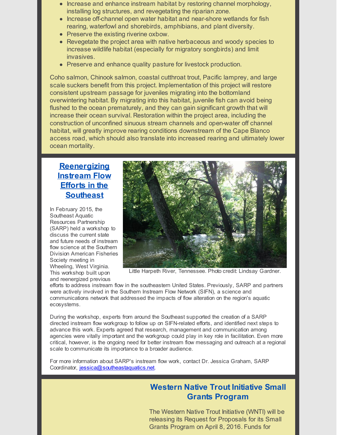- Increase and enhance instream habitat by restoring channel morphology, installing log structures, and revegetating the riparian zone.
- Increase off-channel open water habitat and near-shore wetlands for fish rearing, waterfowl and shorebirds, amphibians, and plant diversity.
- Preserve the existing riverine oxbow.
- Revegetate the project area with native herbaceous and woody species to increase wildlife habitat (especially for migratory songbirds) and limit invasives.
- Preserve and enhance quality pasture for livestock production.

Coho salmon, Chinook salmon, coastal cutthroat trout, Pacific lamprey, and large scale suckers benefit from this project. Implementation of this project will restore consistent upstream passage for juveniles migrating into the bottomland overwintering habitat. By migrating into this habitat, juvenile fish can avoid being flushed to the ocean prematurely, and they can gain significant growth that will increase their ocean survival. Restoration within the project area, including the construction of unconfined sinuous stream channels and open-water off channel habitat, will greatly improve rearing conditions downstream of the Cape Blanco access road, which should also translate into increased rearing and ultimately lower ocean mortality.

### <span id="page-6-0"></span>**Reenergizing Instream Flow Efforts in the Southeast**

In February 2015, the Southeast Aquatic Resources Partnership (SARP) held a workshop to discuss the current state and future needs of instream flow science at the Southern Division American Fisheries Society meeting in Wheeling, West Virginia. This workshop built upon and reenergized previous



Little Harpeth River, Tennessee. Photo credit: Lindsay Gardner.

efforts to address instream flow in the southeastern United States. Previously, SARP and partners were actively involved in the Southern Instream Flow Network (SIFN), a science and communications network that addressed the impacts of flow alteration on the region's aquatic ecosystems.

During the workshop, experts from around the Southeast supported the creation of a SARP directed instream flow workgroup to follow up on SIFN-related efforts, and identified next steps to advance this work. Experts agreed that research, management and communication among agencies were vitally important and the workgroup could play in key role in facilitation. Even more critical, however, is the ongoing need for better instream flow messaging and outreach at a regional scale to communicate its importance to a broader audience.

For more information about SARP's instream flow work, contact Dr. Jessica Graham, SARP Coordinator, [jessica@southeastaquatics.net](mailto:jessica@southeastaquatics.net).

### <span id="page-6-1"></span>**Western Native Trout Initiative Small Grants Program**

The Western Native Trout Initiative (WNTI) will be releasing its Request for Proposals for its Small Grants Program on April 8, 2016. Funds for